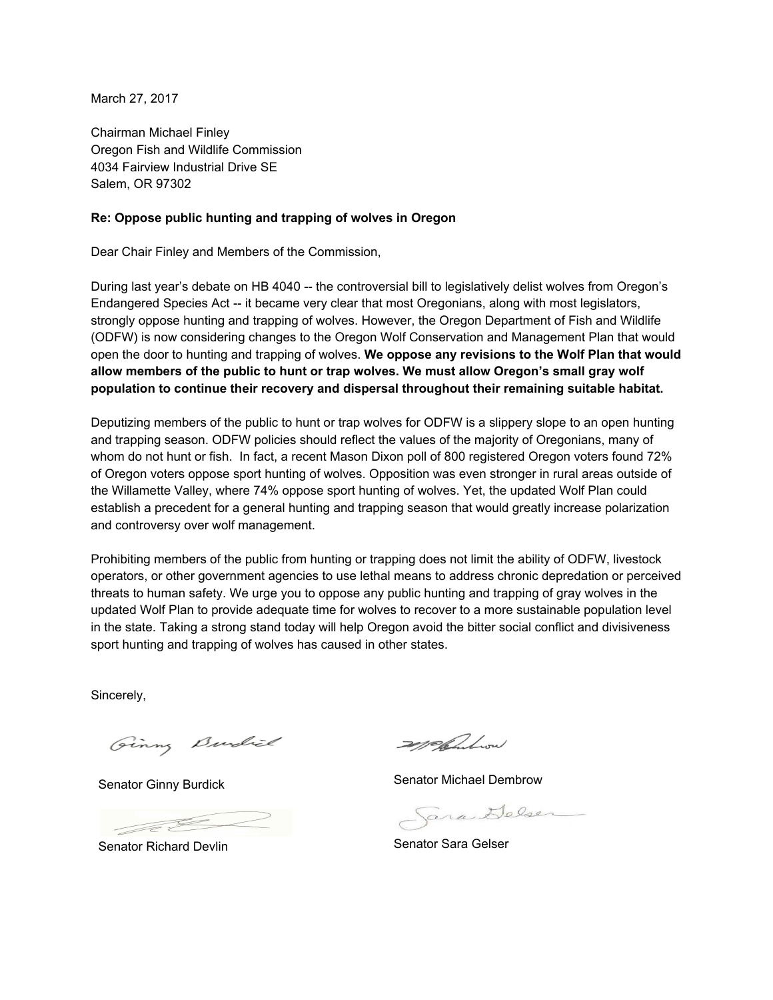March 27, 2017

Chairman Michael Finley Oregon Fish and Wildlife Commission 4034 Fairview Industrial Drive SE Salem, OR 97302

## **Re: Oppose public hunting and trapping of wolves in Oregon**

Dear Chair Finley and Members of the Commission,

During last year's debate on HB 4040 -- the controversial bill to legislatively delist wolves from Oregon's Endangered Species Act -- it became very clear that most Oregonians, along with most legislators, strongly oppose hunting and trapping of wolves. However, the Oregon Department of Fish and Wildlife (ODFW) is now considering changes to the Oregon Wolf Conservation and Management Plan that would open the door to hunting and trapping of wolves. **We oppose any revisions to the Wolf Plan that would allow members of the public to hunt or trap wolves. We must allow Oregon's small gray wolf population to continue their recovery and dispersal throughout their remaining suitable habitat.**

Deputizing members of the public to hunt or trap wolves for ODFW is a slippery slope to an open hunting and trapping season. ODFW policies should reflect the values of the majority of Oregonians, many of whom do not hunt or fish. In fact, a recent Mason Dixon poll of 800 registered Oregon voters found 72% of Oregon voters oppose sport hunting of wolves. Opposition was even stronger in rural areas outside of the Willamette Valley, where 74% oppose sport hunting of wolves. Yet, the updated Wolf Plan could establish a precedent for a general hunting and trapping season that would greatly increase polarization and controversy over wolf management.

Prohibiting members of the public from hunting or trapping does not limit the ability of ODFW, livestock operators, or other government agencies to use lethal means to address chronic depredation or perceived threats to human safety. We urge you to oppose any public hunting and trapping of gray wolves in the updated Wolf Plan to provide adequate time for wolves to recover to a more sustainable population level in the state. Taking a strong stand today will help Oregon avoid the bitter social conflict and divisiveness sport hunting and trapping of wolves has caused in other states.

Sincerely,

Ginny Burkich

Senator Ginny Burdick

- Je E

Senator Richard Devlin

mellembrow

Senator Michael Dembrow

Jara Delser

Senator Sara Gelser